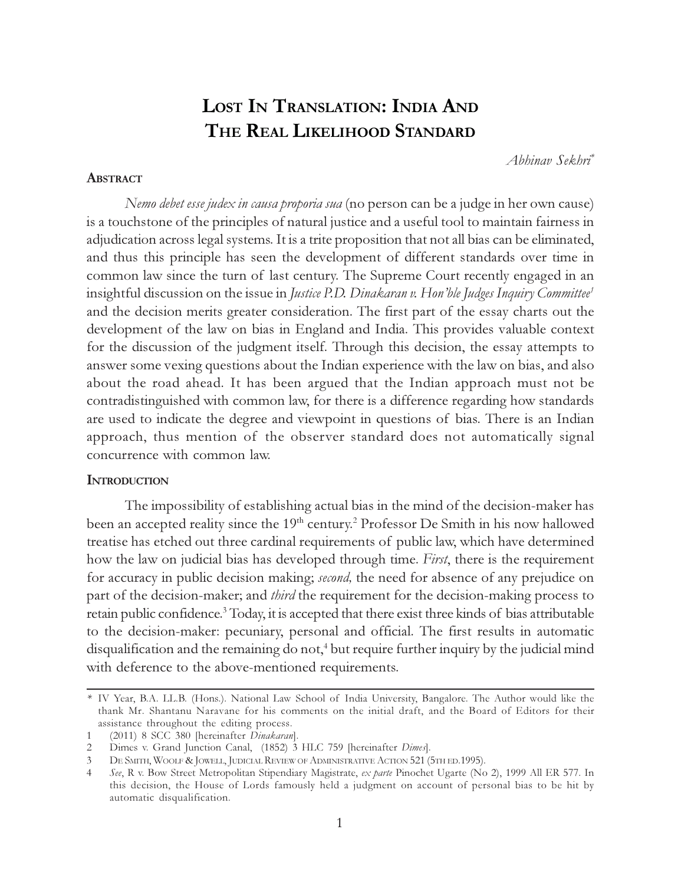# LOST IN TRANSLATION: INDIA AND THE REAL LIKELIHOOD STANDARD

Abhinav Sekhri\*

#### **ABSTRACT**

Nemo debet esse judex in causa proporia sua (no person can be a judge in her own cause) is a touchstone of the principles of natural justice and a useful tool to maintain fairness in adjudication across legal systems. It is a trite proposition that not all bias can be eliminated, and thus this principle has seen the development of different standards over time in common law since the turn of last century. The Supreme Court recently engaged in an insightful discussion on the issue in Justice P.D. Dinakaran v. Hon'ble Judges Inquiry Committee<sup>1</sup> and the decision merits greater consideration. The first part of the essay charts out the development of the law on bias in England and India. This provides valuable context for the discussion of the judgment itself. Through this decision, the essay attempts to answer some vexing questions about the Indian experience with the law on bias, and also about the road ahead. It has been argued that the Indian approach must not be contradistinguished with common law, for there is a difference regarding how standards are used to indicate the degree and viewpoint in questions of bias. There is an Indian approach, thus mention of the observer standard does not automatically signal concurrence with common law.

## **INTRODUCTION**

The impossibility of establishing actual bias in the mind of the decision-maker has been an accepted reality since the  $19^{\rm th}$  century. $^2$  Professor De Smith in his now hallowed treatise has etched out three cardinal requirements of public law, which have determined how the law on judicial bias has developed through time. First, there is the requirement for accuracy in public decision making; second, the need for absence of any prejudice on part of the decision-maker; and *third* the requirement for the decision-making process to retain public confidence.<sup>3</sup> Today, it is accepted that there exist three kinds of bias attributable to the decision-maker: pecuniary, personal and official. The first results in automatic disqualification and the remaining do not,<sup>4</sup> but require further inquiry by the judicial mind with deference to the above-mentioned requirements.

<sup>\*</sup> IV Year, B.A. LL.B. (Hons.). National Law School of India University, Bangalore. The Author would like the thank Mr. Shantanu Naravane for his comments on the initial draft, and the Board of Editors for their assistance throughout the editing process.<br>1 (2011) 8 SCC 380 Ibereinafter Dinakaran

<sup>(2011) 8</sup> SCC 380 [hereinafter Dinakaran].

<sup>2</sup> Dimes v. Grand Junction Canal, (1852) 3 HLC 759 [hereinafter Dimes].

<sup>3</sup> DE SMITH, WOOLF & JOWELL, JUDICIAL REVIEW OF ADMINISTRATIVE ACTION 521 (5TH ED.1995).

<sup>4</sup> See, R v. Bow Street Metropolitan Stipendiary Magistrate, ex parte Pinochet Ugarte (No 2), 1999 All ER 577. In this decision, the House of Lords famously held a judgment on account of personal bias to be hit by automatic disqualification.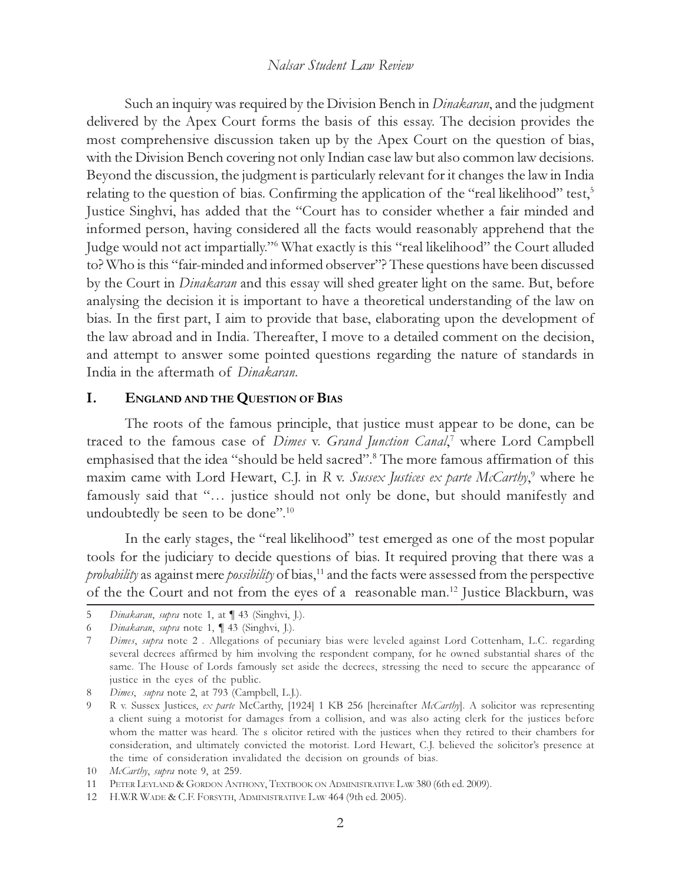Such an inquiry was required by the Division Bench in *Dinakaran*, and the judgment delivered by the Apex Court forms the basis of this essay. The decision provides the most comprehensive discussion taken up by the Apex Court on the question of bias, with the Division Bench covering not only Indian case law but also common law decisions. Beyond the discussion, the judgment is particularly relevant for it changes the law in India relating to the question of bias. Confirming the application of the "real likelihood" test,<sup>5</sup> Justice Singhvi, has added that the "Court has to consider whether a fair minded and informed person, having considered all the facts would reasonably apprehend that the Judge would not act impartially."<sup>6</sup> What exactly is this "real likelihood" the Court alluded to? Who is this "fair-minded and informed observer"? These questions have been discussed by the Court in *Dinakaran* and this essay will shed greater light on the same. But, before analysing the decision it is important to have a theoretical understanding of the law on bias. In the first part, I aim to provide that base, elaborating upon the development of the law abroad and in India. Thereafter, I move to a detailed comment on the decision, and attempt to answer some pointed questions regarding the nature of standards in India in the aftermath of Dinakaran.

## I. ENGLAND AND THE QUESTION OF BIAS

The roots of the famous principle, that justice must appear to be done, can be traced to the famous case of *Dimes v. Grand Junction Canal*,<sup>7</sup> where Lord Campbell emphasised that the idea "should be held sacred".<sup>8</sup> The more famous affirmation of this maxim came with Lord Hewart, C.J. in R v. Sussex Justices ex parte McCarthy,<sup>9</sup> where he famously said that "… justice should not only be done, but should manifestly and undoubtedly be seen to be done".<sup>10</sup>

In the early stages, the "real likelihood" test emerged as one of the most popular tools for the judiciary to decide questions of bias. It required proving that there was a probability as against mere possibility of bias,<sup>11</sup> and the facts were assessed from the perspective of the the Court and not from the eyes of a reasonable man.<sup>12</sup> Justice Blackburn, was

<sup>5</sup> Dinakaran, supra note 1, at ¶ 43 (Singhvi, J.).

<sup>6</sup> Dinakaran, supra note 1, ¶ 43 (Singhvi, J.).

<sup>7</sup> Dimes, supra note 2. Allegations of pecuniary bias were leveled against Lord Cottenham, L.C. regarding several decrees affirmed by him involving the respondent company, for he owned substantial shares of the same. The House of Lords famously set aside the decrees, stressing the need to secure the appearance of justice in the eyes of the public.

<sup>8</sup> Dimes, supra note 2, at 793 (Campbell, L.J.).

<sup>9</sup> R v. Sussex Justices, ex parte McCarthy, [1924] 1 KB 256 [hereinafter McCarthy]. A solicitor was representing a client suing a motorist for damages from a collision, and was also acting clerk for the justices before whom the matter was heard. The s olicitor retired with the justices when they retired to their chambers for consideration, and ultimately convicted the motorist. Lord Hewart, C.J. believed the solicitor's presence at the time of consideration invalidated the decision on grounds of bias.

<sup>10</sup> McCarthy, supra note 9, at 259.

<sup>11</sup> PETER LEYLAND & GORDON ANTHONY, TEXTBOOK ON ADMINISTRATIVE LAW 380 (6th ed. 2009).

<sup>12</sup> H.W.R WADE & C.F. FORSYTH, ADMINISTRATIVE LAW 464 (9th ed. 2005).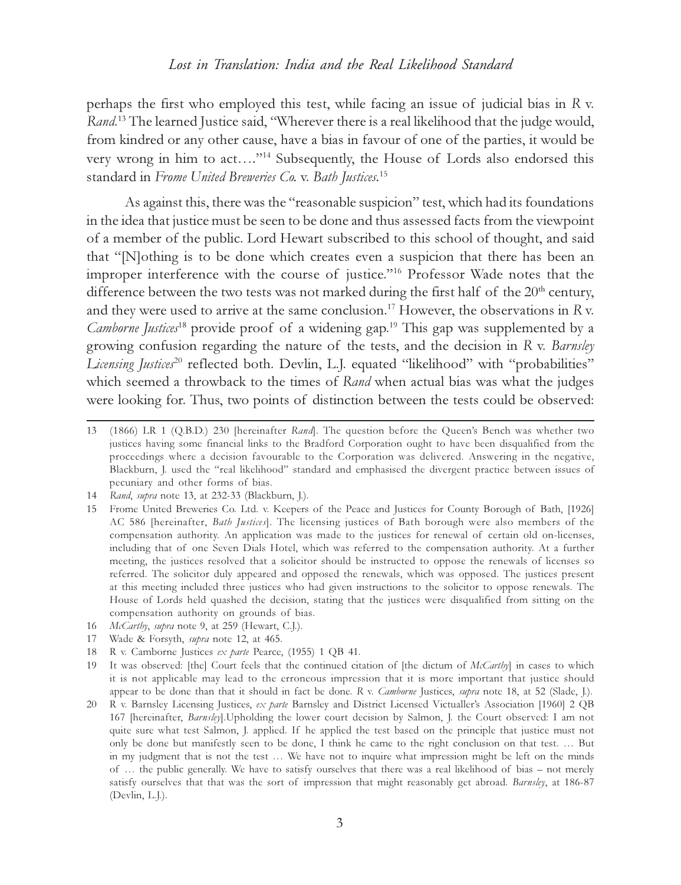perhaps the first who employed this test, while facing an issue of judicial bias in R v. Rand.<sup>13</sup> The learned Justice said, "Wherever there is a real likelihood that the judge would, from kindred or any other cause, have a bias in favour of one of the parties, it would be very wrong in him to act…."<sup>14</sup> Subsequently, the House of Lords also endorsed this standard in Frome United Breweries Co. v. Bath Justices.<sup>15</sup>

As against this, there was the "reasonable suspicion" test, which had its foundations in the idea that justice must be seen to be done and thus assessed facts from the viewpoint of a member of the public. Lord Hewart subscribed to this school of thought, and said that "[N]othing is to be done which creates even a suspicion that there has been an improper interference with the course of justice."<sup>16</sup> Professor Wade notes that the difference between the two tests was not marked during the first half of the  $20<sup>th</sup>$  century, and they were used to arrive at the same conclusion.<sup>17</sup> However, the observations in R v. Camborne Justices<sup>18</sup> provide proof of a widening gap.<sup>19</sup> This gap was supplemented by a growing confusion regarding the nature of the tests, and the decision in  $R$  v. Barnsley Licensing Justices<sup>20</sup> reflected both. Devlin, L.J. equated "likelihood" with "probabilities" which seemed a throwback to the times of Rand when actual bias was what the judges were looking for. Thus, two points of distinction between the tests could be observed:

- 16 McCarthy, supra note 9, at 259 (Hewart, C.J.).
- 17 Wade & Forsyth, supra note 12, at 465.
- 18 R v. Camborne Justices ex parte Pearce, (1955) 1 QB 41.
- 19 It was observed: [the] Court feels that the continued citation of [the dictum of McCarthy] in cases to which it is not applicable may lead to the erroneous impression that it is more important that justice should appear to be done than that it should in fact be done. R v. Camborne Justices, supra note 18, at 52 (Slade, J.).
- 20 R v. Barnsley Licensing Justices, ex parte Barnsley and District Licensed Victualler's Association [1960] 2 QB 167 [hereinafter, Barnsley].Upholding the lower court decision by Salmon, J. the Court observed: I am not quite sure what test Salmon, J. applied. If he applied the test based on the principle that justice must not only be done but manifestly seen to be done, I think he came to the right conclusion on that test. … But in my judgment that is not the test … We have not to inquire what impression might be left on the minds of … the public generally. We have to satisfy ourselves that there was a real likelihood of bias – not merely satisfy ourselves that that was the sort of impression that might reasonably get abroad. Barnsley, at 186-87 (Devlin, L.J.).

<sup>13 (1866)</sup> LR 1 (Q.B.D.) 230 [hereinafter Rand]. The question before the Queen's Bench was whether two justices having some financial links to the Bradford Corporation ought to have been disqualified from the proceedings where a decision favourable to the Corporation was delivered. Answering in the negative, Blackburn, J. used the "real likelihood" standard and emphasised the divergent practice between issues of pecuniary and other forms of bias.

<sup>14</sup> Rand, supra note 13, at 232-33 (Blackburn, J.).

<sup>15</sup> Frome United Breweries Co. Ltd. v. Keepers of the Peace and Justices for County Borough of Bath, [1926] AC 586 [hereinafter, Bath Justices]. The licensing justices of Bath borough were also members of the compensation authority. An application was made to the justices for renewal of certain old on-licenses, including that of one Seven Dials Hotel, which was referred to the compensation authority. At a further meeting, the justices resolved that a solicitor should be instructed to oppose the renewals of licenses so referred. The solicitor duly appeared and opposed the renewals, which was opposed. The justices present at this meeting included three justices who had given instructions to the solicitor to oppose renewals. The House of Lords held quashed the decision, stating that the justices were disqualified from sitting on the compensation authority on grounds of bias.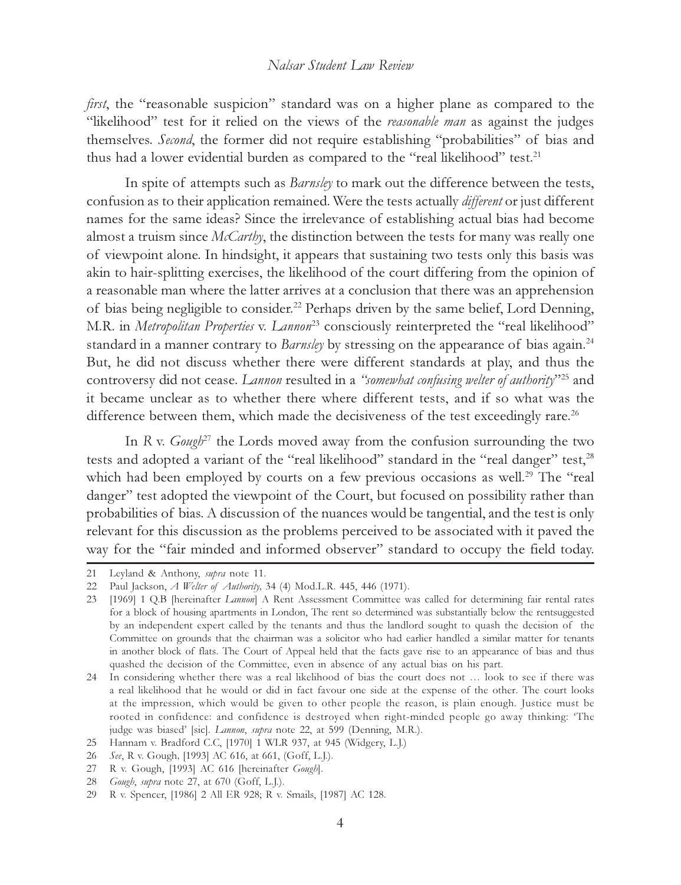first, the "reasonable suspicion" standard was on a higher plane as compared to the "likelihood" test for it relied on the views of the *reasonable man* as against the judges themselves. Second, the former did not require establishing "probabilities" of bias and thus had a lower evidential burden as compared to the "real likelihood" test.<sup>21</sup>

In spite of attempts such as *Barnsley* to mark out the difference between the tests, confusion as to their application remained. Were the tests actually *different* or just different names for the same ideas? Since the irrelevance of establishing actual bias had become almost a truism since  $McCarthy$ , the distinction between the tests for many was really one of viewpoint alone. In hindsight, it appears that sustaining two tests only this basis was akin to hair-splitting exercises, the likelihood of the court differing from the opinion of a reasonable man where the latter arrives at a conclusion that there was an apprehension of bias being negligible to consider.<sup>22</sup> Perhaps driven by the same belief, Lord Denning, M.R. in Metropolitan Properties v. Lannon<sup>23</sup> consciously reinterpreted the "real likelihood" standard in a manner contrary to Barnsley by stressing on the appearance of bias again.<sup>24</sup> But, he did not discuss whether there were different standards at play, and thus the controversy did not cease. Lannon resulted in a "somewhat confusing welter of authority"<sup>25</sup> and it became unclear as to whether there where different tests, and if so what was the difference between them, which made the decisiveness of the test exceedingly rare.<sup>26</sup>

In R v.  $Gauge^{27}$  the Lords moved away from the confusion surrounding the two tests and adopted a variant of the "real likelihood" standard in the "real danger" test,<sup>28</sup> which had been employed by courts on a few previous occasions as well.<sup>29</sup> The "real danger" test adopted the viewpoint of the Court, but focused on possibility rather than probabilities of bias. A discussion of the nuances would be tangential, and the test is only relevant for this discussion as the problems perceived to be associated with it paved the way for the "fair minded and informed observer" standard to occupy the field today.

<sup>21</sup> Leyland & Anthony, supra note 11.

<sup>22</sup> Paul Jackson, A Welter of Authority, 34 (4) Mod.L.R. 445, 446 (1971).

<sup>23 [1969] 1</sup> Q.B [hereinafter *Lannon*] A Rent Assessment Committee was called for determining fair rental rates for a block of housing apartments in London, The rent so determined was substantially below the rentsuggested by an independent expert called by the tenants and thus the landlord sought to quash the decision of the Committee on grounds that the chairman was a solicitor who had earlier handled a similar matter for tenants in another block of flats. The Court of Appeal held that the facts gave rise to an appearance of bias and thus quashed the decision of the Committee, even in absence of any actual bias on his part.

<sup>24</sup> In considering whether there was a real likelihood of bias the court does not … look to see if there was a real likelihood that he would or did in fact favour one side at the expense of the other. The court looks at the impression, which would be given to other people the reason, is plain enough. Justice must be rooted in confidence: and confidence is destroyed when right-minded people go away thinking: 'The judge was biased' [sic]. Lannon, supra note 22, at 599 (Denning, M.R.).

<sup>25</sup> Hannam v. Bradford C.C, [1970] 1 WLR 937, at 945 (Widgery, L.J.)

<sup>26</sup> See, R v. Gough, [1993] AC 616, at 661, (Goff, L.J.).

<sup>27</sup> R v. Gough, [1993] AC 616 [hereinafter Gough].

<sup>28</sup> Gough, supra note 27, at 670 (Goff, L.J.).

<sup>29</sup> R v. Spencer, [1986] 2 All ER 928; R v. Smails, [1987] AC 128.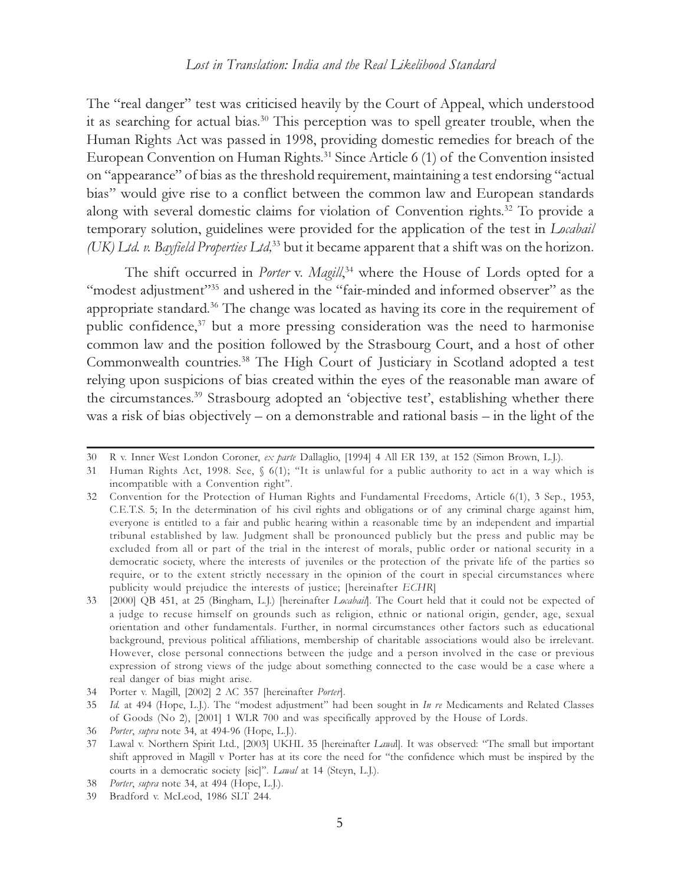The "real danger" test was criticised heavily by the Court of Appeal, which understood it as searching for actual bias.<sup>30</sup> This perception was to spell greater trouble, when the Human Rights Act was passed in 1998, providing domestic remedies for breach of the European Convention on Human Rights.<sup>31</sup> Since Article 6 (1) of the Convention insisted on "appearance" of bias as the threshold requirement, maintaining a test endorsing "actual bias" would give rise to a conflict between the common law and European standards along with several domestic claims for violation of Convention rights.<sup>32</sup> To provide a temporary solution, guidelines were provided for the application of the test in Locabail (UK) Ltd. v. Bayfield Properties Ltd,<sup>33</sup> but it became apparent that a shift was on the horizon.

The shift occurred in *Porter* v. *Magill*,<sup>34</sup> where the House of Lords opted for a "modest adjustment"<sup>35</sup> and ushered in the "fair-minded and informed observer" as the appropriate standard.<sup>36</sup> The change was located as having its core in the requirement of public confidence, $37$  but a more pressing consideration was the need to harmonise common law and the position followed by the Strasbourg Court, and a host of other Commonwealth countries.<sup>38</sup> The High Court of Justiciary in Scotland adopted a test relying upon suspicions of bias created within the eyes of the reasonable man aware of the circumstances.<sup>39</sup> Strasbourg adopted an 'objective test', establishing whether there was a risk of bias objectively – on a demonstrable and rational basis – in the light of the

<sup>30</sup> R v. Inner West London Coroner, ex parte Dallaglio, [1994] 4 All ER 139, at 152 (Simon Brown, L.J.).

<sup>31</sup> Human Rights Act, 1998. See, § 6(1); "It is unlawful for a public authority to act in a way which is incompatible with a Convention right".

<sup>32</sup> Convention for the Protection of Human Rights and Fundamental Freedoms, Article 6(1), 3 Sep., 1953, C.E.T.S. 5; In the determination of his civil rights and obligations or of any criminal charge against him, everyone is entitled to a fair and public hearing within a reasonable time by an independent and impartial tribunal established by law. Judgment shall be pronounced publicly but the press and public may be excluded from all or part of the trial in the interest of morals, public order or national security in a democratic society, where the interests of juveniles or the protection of the private life of the parties so require, or to the extent strictly necessary in the opinion of the court in special circumstances where publicity would prejudice the interests of justice; [hereinafter ECHR]

<sup>33 [2000]</sup> QB 451, at 25 (Bingham, L.J.) [hereinafter Locabail]. The Court held that it could not be expected of a judge to recuse himself on grounds such as religion, ethnic or national origin, gender, age, sexual orientation and other fundamentals. Further, in normal circumstances other factors such as educational background, previous political affiliations, membership of charitable associations would also be irrelevant. However, close personal connections between the judge and a person involved in the case or previous expression of strong views of the judge about something connected to the case would be a case where a real danger of bias might arise.

<sup>34</sup> Porter v. Magill, [2002] 2 AC 357 [hereinafter Porter].

<sup>35</sup> Id. at 494 (Hope, L.J.). The "modest adjustment" had been sought in In re Medicaments and Related Classes of Goods (No 2), [2001] 1 WLR 700 and was specifically approved by the House of Lords.

<sup>36</sup> Porter, supra note 34, at 494-96 (Hope, L.J.).

<sup>37</sup> Lawal v. Northern Spirit Ltd., [2003] UKHL 35 [hereinafter Lawal]. It was observed: "The small but important shift approved in Magill v Porter has at its core the need for "the confidence which must be inspired by the courts in a democratic society [sic]". Lawal at 14 (Steyn, L.J.).

<sup>38</sup> Porter, supra note 34, at 494 (Hope, L.J.).

<sup>39</sup> Bradford v. McLeod, 1986 SLT 244.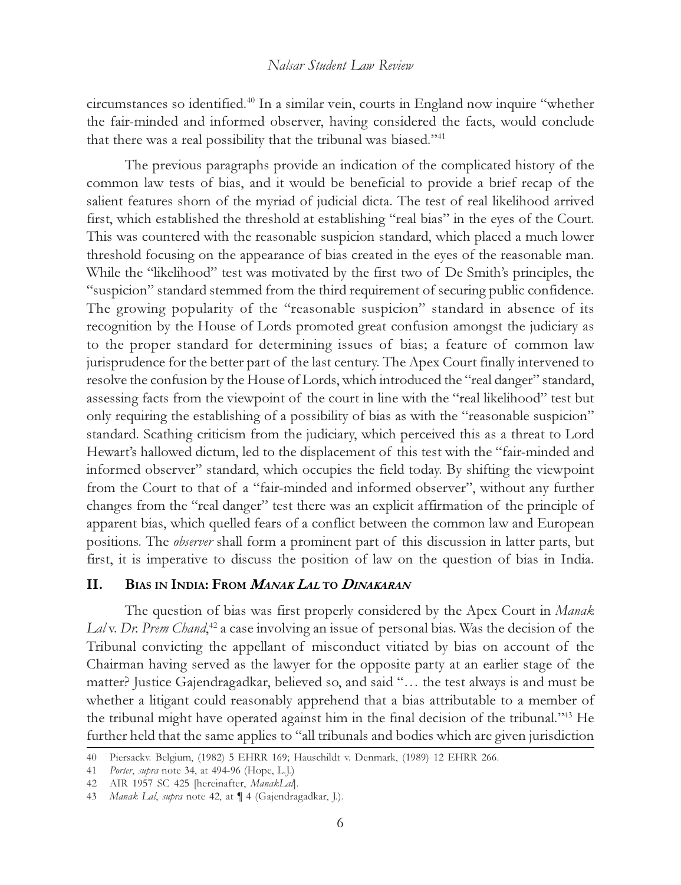circumstances so identified.<sup>40</sup> In a similar vein, courts in England now inquire "whether the fair-minded and informed observer, having considered the facts, would conclude that there was a real possibility that the tribunal was biased."<sup>41</sup>

The previous paragraphs provide an indication of the complicated history of the common law tests of bias, and it would be beneficial to provide a brief recap of the salient features shorn of the myriad of judicial dicta. The test of real likelihood arrived first, which established the threshold at establishing "real bias" in the eyes of the Court. This was countered with the reasonable suspicion standard, which placed a much lower threshold focusing on the appearance of bias created in the eyes of the reasonable man. While the "likelihood" test was motivated by the first two of De Smith's principles, the "suspicion" standard stemmed from the third requirement of securing public confidence. The growing popularity of the "reasonable suspicion" standard in absence of its recognition by the House of Lords promoted great confusion amongst the judiciary as to the proper standard for determining issues of bias; a feature of common law jurisprudence for the better part of the last century. The Apex Court finally intervened to resolve the confusion by the House of Lords, which introduced the "real danger" standard, assessing facts from the viewpoint of the court in line with the "real likelihood" test but only requiring the establishing of a possibility of bias as with the "reasonable suspicion" standard. Scathing criticism from the judiciary, which perceived this as a threat to Lord Hewart's hallowed dictum, led to the displacement of this test with the "fair-minded and informed observer" standard, which occupies the field today. By shifting the viewpoint from the Court to that of a "fair-minded and informed observer", without any further changes from the "real danger" test there was an explicit affirmation of the principle of apparent bias, which quelled fears of a conflict between the common law and European positions. The observer shall form a prominent part of this discussion in latter parts, but first, it is imperative to discuss the position of law on the question of bias in India.

## II. BIAS IN INDIA: FROM *MANAK LAL* TO *DINAKARAN*

The question of bias was first properly considered by the Apex Court in Manak Lalv. Dr. Prem Chand,<sup>42</sup> a case involving an issue of personal bias. Was the decision of the Tribunal convicting the appellant of misconduct vitiated by bias on account of the Chairman having served as the lawyer for the opposite party at an earlier stage of the matter? Justice Gajendragadkar, believed so, and said "… the test always is and must be whether a litigant could reasonably apprehend that a bias attributable to a member of the tribunal might have operated against him in the final decision of the tribunal."<sup>43</sup> He further held that the same applies to "all tribunals and bodies which are given jurisdiction

<sup>40</sup> Piersackv. Belgium, (1982) 5 EHRR 169; Hauschildt v. Denmark, (1989) 12 EHRR 266.

<sup>41</sup> Porter, supra note 34, at 494-96 (Hope, L.J.)

<sup>42</sup> AIR 1957 SC 425 [hereinafter, ManakLal].

<sup>43</sup> Manak Lal, supra note 42, at  $\P$  4 (Gajendragadkar, J.).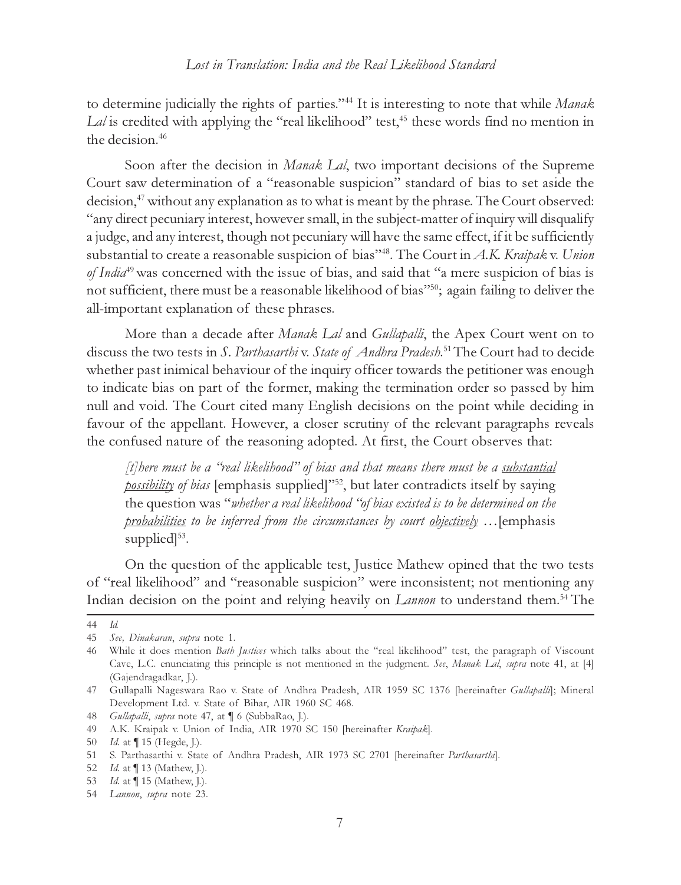to determine judicially the rights of parties."<sup>44</sup> It is interesting to note that while Manak  $Lal$  is credited with applying the "real likelihood" test,<sup>45</sup> these words find no mention in the decision.<sup>46</sup>

Soon after the decision in *Manak Lal*, two important decisions of the Supreme Court saw determination of a "reasonable suspicion" standard of bias to set aside the decision,<sup>47</sup> without any explanation as to what is meant by the phrase. The Court observed: "any direct pecuniary interest, however small, in the subject-matter of inquiry will disqualify a judge, and any interest, though not pecuniary will have the same effect, if it be sufficiently substantial to create a reasonable suspicion of bias"<sup>48</sup>. The Court in A.K. Kraipak v. Union of India<sup>49</sup> was concerned with the issue of bias, and said that "a mere suspicion of bias is not sufficient, there must be a reasonable likelihood of bias"<sup>50</sup>; again failing to deliver the all-important explanation of these phrases.

More than a decade after *Manak Lal* and *Gullapalli*, the Apex Court went on to discuss the two tests in *S. Parthasarthi* v. State of Andhra Pradesh.<sup>51</sup> The Court had to decide whether past inimical behaviour of the inquiry officer towards the petitioner was enough to indicate bias on part of the former, making the termination order so passed by him null and void. The Court cited many English decisions on the point while deciding in favour of the appellant. However, a closer scrutiny of the relevant paragraphs reveals the confused nature of the reasoning adopted. At first, the Court observes that:

[t] here must be a "real likelihood" of bias and that means there must be a substantial possibility of bias [emphasis supplied]"<sup>52</sup>, but later contradicts itself by saying the question was "whether a real likelihood "of bias existed is to be determined on the probabilities to be inferred from the circumstances by court objectively ... [emphasis supplied $]^{53}$ .

On the question of the applicable test, Justice Mathew opined that the two tests of "real likelihood" and "reasonable suspicion" were inconsistent; not mentioning any Indian decision on the point and relying heavily on *Lannon* to understand them.<sup>54</sup> The

<sup>44</sup> Id.

<sup>45</sup> See, Dinakaran, supra note 1.

<sup>46</sup> While it does mention Bath Justices which talks about the "real likelihood" test, the paragraph of Viscount Cave, L.C. enunciating this principle is not mentioned in the judgment. See, Manak Lal, supra note 41, at [4] (Gajendragadkar, J.).

<sup>47</sup> Gullapalli Nageswara Rao v. State of Andhra Pradesh, AIR 1959 SC 1376 [hereinafter Gullapalli]; Mineral Development Ltd. v. State of Bihar, AIR 1960 SC 468.

<sup>48</sup> Gullapalli, supra note 47, at ¶ 6 (SubbaRao, J.).

<sup>49</sup> A.K. Kraipak v. Union of India, AIR 1970 SC 150 [hereinafter Kraipak].

<sup>50</sup> Id. at ¶ 15 (Hegde, J.).

<sup>51</sup> S. Parthasarthi v. State of Andhra Pradesh, AIR 1973 SC 2701 [hereinafter Parthasarthi].

<sup>52</sup> Id. at ¶ 13 (Mathew, J.).

<sup>53</sup> Id. at ¶ 15 (Mathew, J.).

<sup>54</sup> Lannon, supra note 23.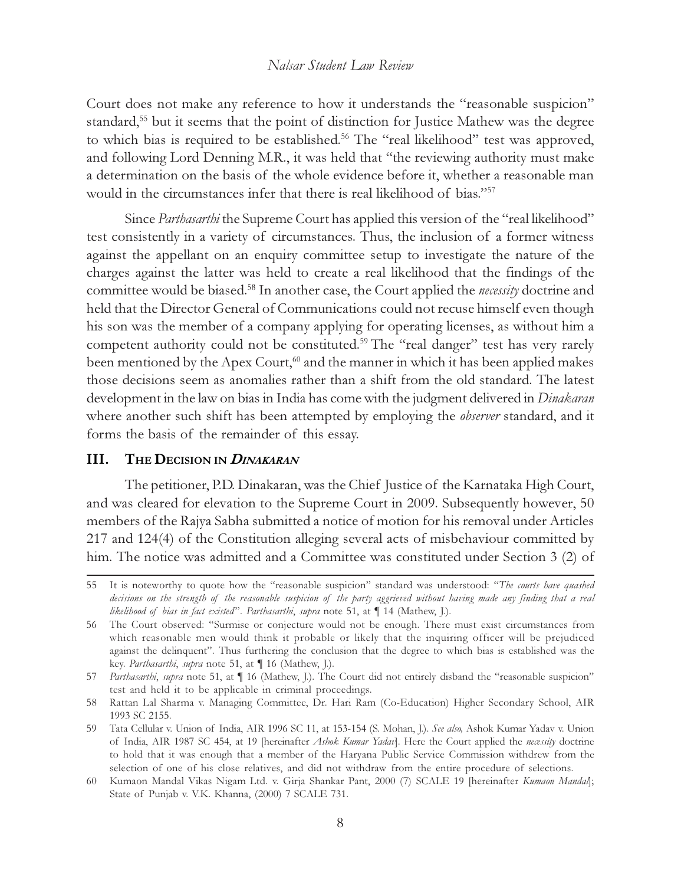Court does not make any reference to how it understands the "reasonable suspicion" standard,<sup>55</sup> but it seems that the point of distinction for Justice Mathew was the degree to which bias is required to be established.<sup>56</sup> The "real likelihood" test was approved, and following Lord Denning M.R., it was held that "the reviewing authority must make a determination on the basis of the whole evidence before it, whether a reasonable man would in the circumstances infer that there is real likelihood of bias."<sup>57</sup>

Since *Parthasarthi* the Supreme Court has applied this version of the "real likelihood" test consistently in a variety of circumstances. Thus, the inclusion of a former witness against the appellant on an enquiry committee setup to investigate the nature of the charges against the latter was held to create a real likelihood that the findings of the committee would be biased.<sup>58</sup> In another case, the Court applied the *necessity* doctrine and held that the Director General of Communications could not recuse himself even though his son was the member of a company applying for operating licenses, as without him a competent authority could not be constituted.<sup>59</sup> The "real danger" test has very rarely been mentioned by the Apex Court,<sup>60</sup> and the manner in which it has been applied makes those decisions seem as anomalies rather than a shift from the old standard. The latest development in the law on bias in India has come with the judgment delivered in *Dinakaran* where another such shift has been attempted by employing the *observer* standard, and it forms the basis of the remainder of this essay.

# III. THE DECISION IN *DINAKARAN*

The petitioner, P.D. Dinakaran, was the Chief Justice of the Karnataka High Court, and was cleared for elevation to the Supreme Court in 2009. Subsequently however, 50 members of the Rajya Sabha submitted a notice of motion for his removal under Articles 217 and 124(4) of the Constitution alleging several acts of misbehaviour committed by him. The notice was admitted and a Committee was constituted under Section 3 (2) of

<sup>55</sup> It is noteworthy to quote how the "reasonable suspicion" standard was understood: "The courts have quashed decisions on the strength of the reasonable suspicion of the party aggrieved without having made any finding that a real likelihood of bias in fact existed". Parthasarthi, supra note 51, at  $\P$  14 (Mathew, J.).

<sup>56</sup> The Court observed: "Surmise or conjecture would not be enough. There must exist circumstances from which reasonable men would think it probable or likely that the inquiring officer will be prejudiced against the delinquent". Thus furthering the conclusion that the degree to which bias is established was the key. Parthasarthi, supra note 51, at ¶ 16 (Mathew, J.).

<sup>57</sup> Parthasarthi, supra note 51, at  $\P$  16 (Mathew, J.). The Court did not entirely disband the "reasonable suspicion" test and held it to be applicable in criminal proceedings.

<sup>58</sup> Rattan Lal Sharma v. Managing Committee, Dr. Hari Ram (Co-Education) Higher Secondary School, AIR 1993 SC 2155.

<sup>59</sup> Tata Cellular v. Union of India, AIR 1996 SC 11, at 153-154 (S. Mohan, J.). See also, Ashok Kumar Yadav v. Union of India, AIR 1987 SC 454, at 19 [hereinafter Ashok Kumar Yadav]. Here the Court applied the necessity doctrine to hold that it was enough that a member of the Haryana Public Service Commission withdrew from the selection of one of his close relatives, and did not withdraw from the entire procedure of selections.

<sup>60</sup> Kumaon Mandal Vikas Nigam Ltd. v. Girja Shankar Pant, 2000 (7) SCALE 19 [hereinafter Kumaon Mandal]; State of Punjab v. V.K. Khanna, (2000) 7 SCALE 731.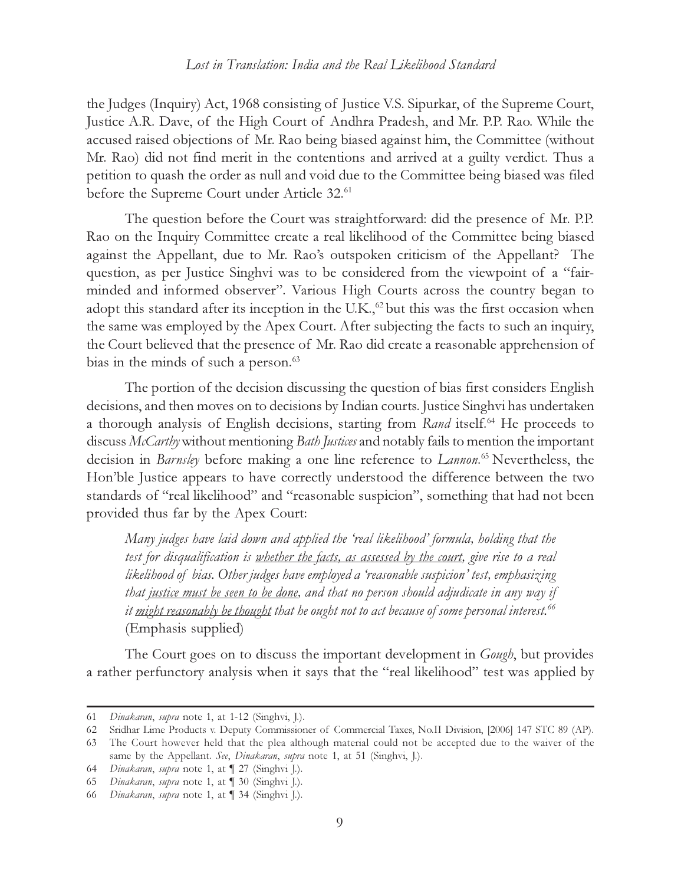the Judges (Inquiry) Act, 1968 consisting of Justice V.S. Sipurkar, of the Supreme Court, Justice A.R. Dave, of the High Court of Andhra Pradesh, and Mr. P.P. Rao. While the accused raised objections of Mr. Rao being biased against him, the Committee (without Mr. Rao) did not find merit in the contentions and arrived at a guilty verdict. Thus a petition to quash the order as null and void due to the Committee being biased was filed before the Supreme Court under Article 32.<sup>61</sup>

The question before the Court was straightforward: did the presence of Mr. P.P. Rao on the Inquiry Committee create a real likelihood of the Committee being biased against the Appellant, due to Mr. Rao's outspoken criticism of the Appellant? The question, as per Justice Singhvi was to be considered from the viewpoint of a "fairminded and informed observer". Various High Courts across the country began to adopt this standard after its inception in the U.K.,<sup>62</sup> but this was the first occasion when the same was employed by the Apex Court. After subjecting the facts to such an inquiry, the Court believed that the presence of Mr. Rao did create a reasonable apprehension of bias in the minds of such a person.<sup>63</sup>

The portion of the decision discussing the question of bias first considers English decisions, and then moves on to decisions by Indian courts. Justice Singhvi has undertaken a thorough analysis of English decisions, starting from Rand itself.<sup>64</sup> He proceeds to discuss McCarthy without mentioning Bath Justices and notably fails to mention the important decision in *Barnsley* before making a one line reference to *Lannon*.<sup>65</sup> Nevertheless, the Hon'ble Justice appears to have correctly understood the difference between the two standards of "real likelihood" and "reasonable suspicion", something that had not been provided thus far by the Apex Court:

Many judges have laid down and applied the 'real likelihood' formula, holding that the test for disqualification is <u>whether the facts, as assessed by the court</u>, give rise to a real likelihood of bias. Other judges have employed a 'reasonable suspicion' test, emphasizing that justice must be seen to be done, and that no person should adjudicate in any way if it might reasonably be thought that he ought not to act because of some personal interest.<sup>66</sup> (Emphasis supplied)

The Court goes on to discuss the important development in *Gough*, but provides a rather perfunctory analysis when it says that the "real likelihood" test was applied by

<sup>61</sup> Dinakaran, supra note 1, at 1-12 (Singhvi, J.).

<sup>62</sup> Sridhar Lime Products v. Deputy Commissioner of Commercial Taxes, No.II Division, [2006] 147 STC 89 (AP).

<sup>63</sup> The Court however held that the plea although material could not be accepted due to the waiver of the same by the Appellant. See, Dinakaran, supra note 1, at 51 (Singhvi, J.).

<sup>64</sup> Dinakaran, supra note 1, at ¶ 27 (Singhvi J.).

<sup>65</sup> Dinakaran, supra note 1, at ¶ 30 (Singhvi J.).

<sup>66</sup> Dinakaran, supra note 1, at ¶ 34 (Singhvi J.).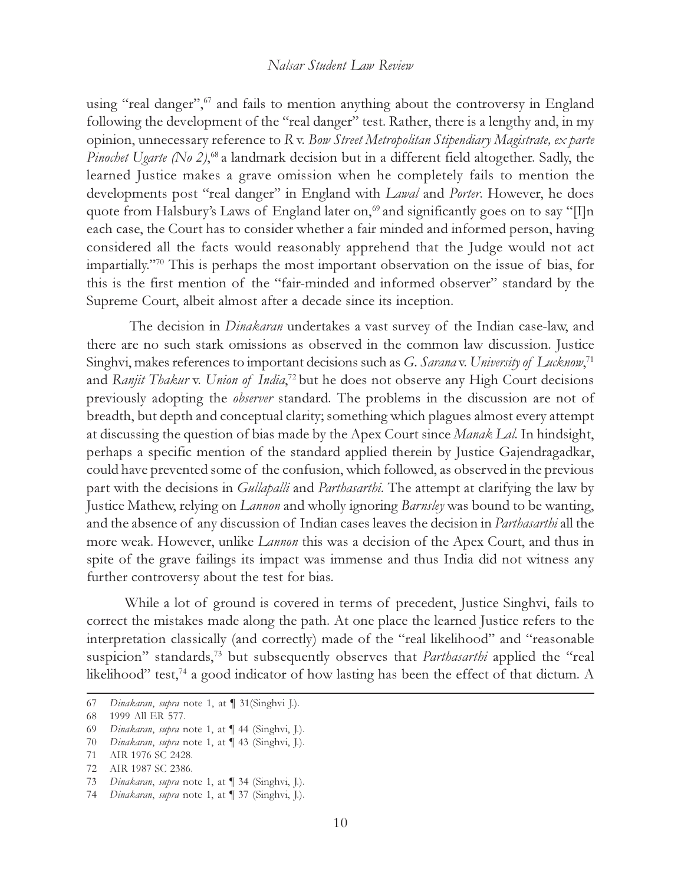using "real danger", $67$  and fails to mention anything about the controversy in England following the development of the "real danger" test. Rather, there is a lengthy and, in my opinion, unnecessary reference to R v. Bow Street Metropolitan Stipendiary Magistrate, ex parte Pinochet Ugarte (No 2),<sup>68</sup> a landmark decision but in a different field altogether. Sadly, the learned Justice makes a grave omission when he completely fails to mention the developments post "real danger" in England with Lawal and Porter. However, he does quote from Halsbury's Laws of England later on,<sup>69</sup> and significantly goes on to say "[I]n each case, the Court has to consider whether a fair minded and informed person, having considered all the facts would reasonably apprehend that the Judge would not act impartially."<sup>70</sup> This is perhaps the most important observation on the issue of bias, for this is the first mention of the "fair-minded and informed observer" standard by the Supreme Court, albeit almost after a decade since its inception.

 The decision in Dinakaran undertakes a vast survey of the Indian case-law, and there are no such stark omissions as observed in the common law discussion. Justice Singhvi, makes references to important decisions such as G. Sarana v. University of Lucknow,<sup>71</sup> and Ranjit Thakur v. Union of India,<sup>72</sup> but he does not observe any High Court decisions previously adopting the observer standard. The problems in the discussion are not of breadth, but depth and conceptual clarity; something which plagues almost every attempt at discussing the question of bias made by the Apex Court since Manak Lal. In hindsight, perhaps a specific mention of the standard applied therein by Justice Gajendragadkar, could have prevented some of the confusion, which followed, as observed in the previous part with the decisions in *Gullapalli* and *Parthasarthi*. The attempt at clarifying the law by Justice Mathew, relying on Lannon and wholly ignoring Barnsley was bound to be wanting, and the absence of any discussion of Indian cases leaves the decision in *Parthasarthi* all the more weak. However, unlike *Lannon* this was a decision of the Apex Court, and thus in spite of the grave failings its impact was immense and thus India did not witness any further controversy about the test for bias.

While a lot of ground is covered in terms of precedent, Justice Singhvi, fails to correct the mistakes made along the path. At one place the learned Justice refers to the interpretation classically (and correctly) made of the "real likelihood" and "reasonable suspicion" standards,<sup>73</sup> but subsequently observes that *Parthasarthi* applied the "real likelihood" test,<sup>74</sup> a good indicator of how lasting has been the effect of that dictum. A

71 AIR 1976 SC 2428.

73 Dinakaran, supra note 1, at ¶ 34 (Singhvi, J.).

<sup>67</sup> Dinakaran, supra note 1, at ¶ 31(Singhvi J.).

<sup>68 1999</sup> All ER 577.

<sup>69</sup> Dinakaran, supra note 1, at ¶ 44 (Singhvi, J.).

<sup>70</sup> Dinakaran, supra note 1, at 1 43 (Singhvi, J.).

<sup>72</sup> AIR 1987 SC 2386.

<sup>74</sup> Dinakaran, supra note 1, at ¶ 37 (Singhvi, J.).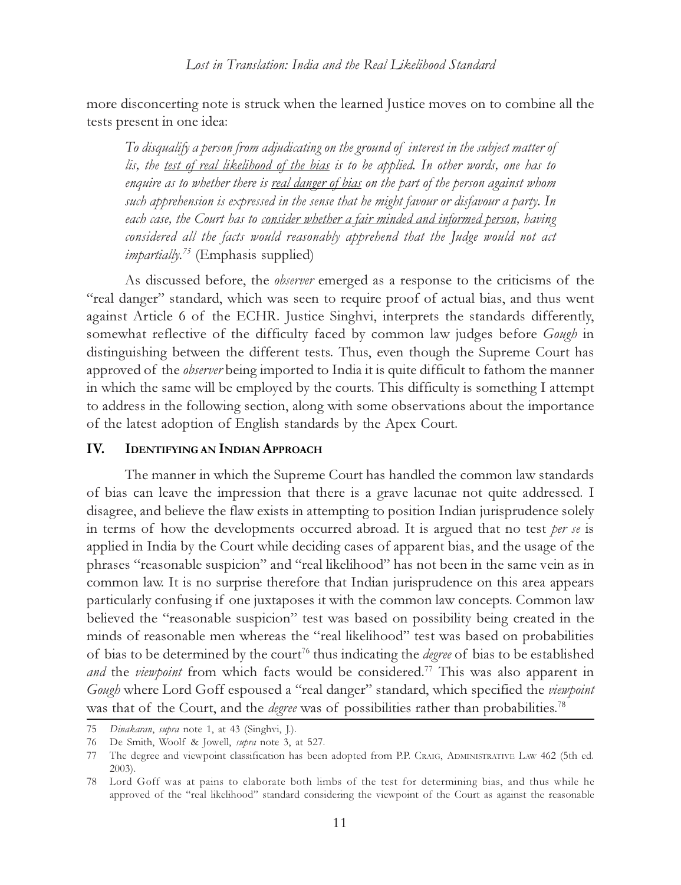more disconcerting note is struck when the learned Justice moves on to combine all the tests present in one idea:

To disqualify a person from adjudicating on the ground of interest in the subject matter of lis, the test of real likelihood of the bias is to be applied. In other words, one has to enquire as to whether there is real danger of bias on the part of the person against whom such apprehension is expressed in the sense that he might favour or disfavour a party. In each case, the Court has to consider whether a fair minded and informed person, having considered all the facts would reasonably apprehend that the Judge would not act *impartially.*<sup>75</sup> (Emphasis supplied)

As discussed before, the observer emerged as a response to the criticisms of the "real danger" standard, which was seen to require proof of actual bias, and thus went against Article 6 of the ECHR. Justice Singhvi, interprets the standards differently, somewhat reflective of the difficulty faced by common law judges before Gough in distinguishing between the different tests. Thus, even though the Supreme Court has approved of the *observer* being imported to India it is quite difficult to fathom the manner in which the same will be employed by the courts. This difficulty is something I attempt to address in the following section, along with some observations about the importance of the latest adoption of English standards by the Apex Court.

# IV. IDENTIFYING AN INDIAN APPROACH

The manner in which the Supreme Court has handled the common law standards of bias can leave the impression that there is a grave lacunae not quite addressed. I disagree, and believe the flaw exists in attempting to position Indian jurisprudence solely in terms of how the developments occurred abroad. It is argued that no test per se is applied in India by the Court while deciding cases of apparent bias, and the usage of the phrases "reasonable suspicion" and "real likelihood" has not been in the same vein as in common law. It is no surprise therefore that Indian jurisprudence on this area appears particularly confusing if one juxtaposes it with the common law concepts. Common law believed the "reasonable suspicion" test was based on possibility being created in the minds of reasonable men whereas the "real likelihood" test was based on probabilities of bias to be determined by the court<sup>76</sup> thus indicating the *degree* of bias to be established and the viewpoint from which facts would be considered.<sup>77</sup> This was also apparent in Gough where Lord Goff espoused a "real danger" standard, which specified the viewpoint was that of the Court, and the *degree* was of possibilities rather than probabilities.<sup>78</sup>

<sup>75</sup> Dinakaran, supra note 1, at 43 (Singhvi, J.).

<sup>76</sup> De Smith, Woolf & Jowell, supra note 3, at 527.

<sup>77</sup> The degree and viewpoint classification has been adopted from P.P. CRAIG, ADMINISTRATIVE LAW 462 (5th ed. 2003).

<sup>78</sup> Lord Goff was at pains to elaborate both limbs of the test for determining bias, and thus while he approved of the "real likelihood" standard considering the viewpoint of the Court as against the reasonable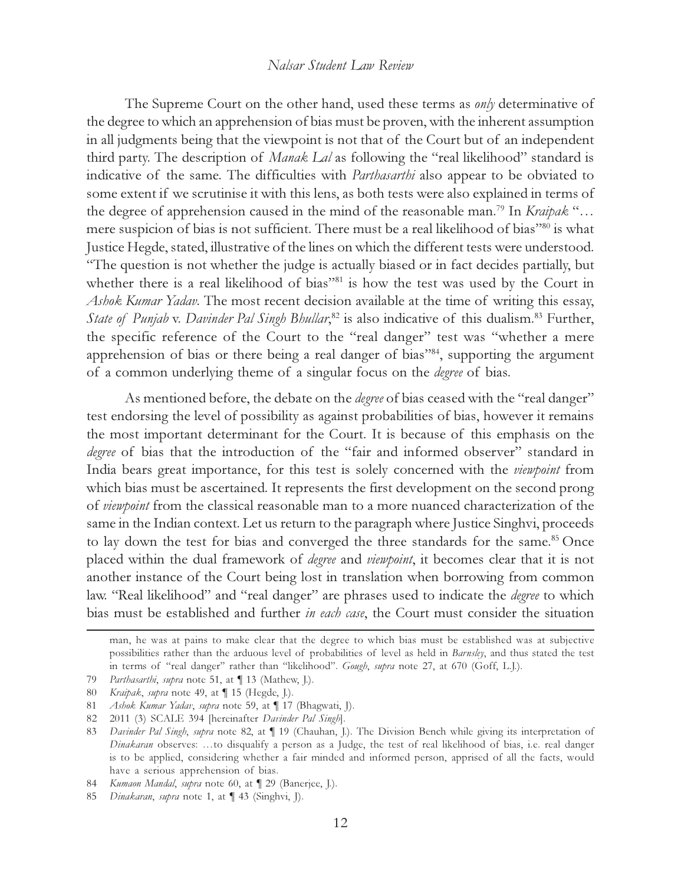The Supreme Court on the other hand, used these terms as *only* determinative of the degree to which an apprehension of bias must be proven, with the inherent assumption in all judgments being that the viewpoint is not that of the Court but of an independent third party. The description of *Manak Lal* as following the "real likelihood" standard is indicative of the same. The difficulties with *Parthasarthi* also appear to be obviated to some extent if we scrutinise it with this lens, as both tests were also explained in terms of the degree of apprehension caused in the mind of the reasonable man.<sup>79</sup> In *Kraipak* "... mere suspicion of bias is not sufficient. There must be a real likelihood of bias"80 is what Justice Hegde, stated, illustrative of the lines on which the different tests were understood. "The question is not whether the judge is actually biased or in fact decides partially, but whether there is a real likelihood of bias"<sup>81</sup> is how the test was used by the Court in Ashok Kumar Yadav. The most recent decision available at the time of writing this essay, State of Punjab v. Davinder Pal Singh Bhullar,<sup>82</sup> is also indicative of this dualism.<sup>83</sup> Further, the specific reference of the Court to the "real danger" test was "whether a mere apprehension of bias or there being a real danger of bias"<sup>84</sup>, supporting the argument of a common underlying theme of a singular focus on the degree of bias.

As mentioned before, the debate on the *degree* of bias ceased with the "real danger" test endorsing the level of possibility as against probabilities of bias, however it remains the most important determinant for the Court. It is because of this emphasis on the degree of bias that the introduction of the "fair and informed observer" standard in India bears great importance, for this test is solely concerned with the viewpoint from which bias must be ascertained. It represents the first development on the second prong of viewpoint from the classical reasonable man to a more nuanced characterization of the same in the Indian context. Let us return to the paragraph where Justice Singhvi, proceeds to lay down the test for bias and converged the three standards for the same.<sup>85</sup> Once placed within the dual framework of degree and viewpoint, it becomes clear that it is not another instance of the Court being lost in translation when borrowing from common law. "Real likelihood" and "real danger" are phrases used to indicate the *degree* to which bias must be established and further in each case, the Court must consider the situation

man, he was at pains to make clear that the degree to which bias must be established was at subjective possibilities rather than the arduous level of probabilities of level as held in Barnsley, and thus stated the test in terms of "real danger" rather than "likelihood". Gough, supra note 27, at 670 (Goff, L.J.).

<sup>79</sup> Parthasarthi, supra note 51, at [13 (Mathew, J.).

<sup>80</sup> Kraipak, supra note 49, at ¶ 15 (Hegde, J.).

<sup>81</sup> Ashok Kumar Yadav, supra note 59, at [17 (Bhagwati, J).

<sup>82 2011 (3)</sup> SCALE 394 [hereinafter Davinder Pal Singh].

<sup>83</sup> Davinder Pal Singh, supra note 82, at  $\P$  19 (Chauhan, J.). The Division Bench while giving its interpretation of Dinakaran observes: …to disqualify a person as a Judge, the test of real likelihood of bias, i.e. real danger is to be applied, considering whether a fair minded and informed person, apprised of all the facts, would have a serious apprehension of bias.

<sup>84</sup> Kumaon Mandal, supra note 60, at  $\P$  29 (Banerjee, J.).

<sup>85</sup> Dinakaran, supra note 1, at ¶ 43 (Singhvi, J).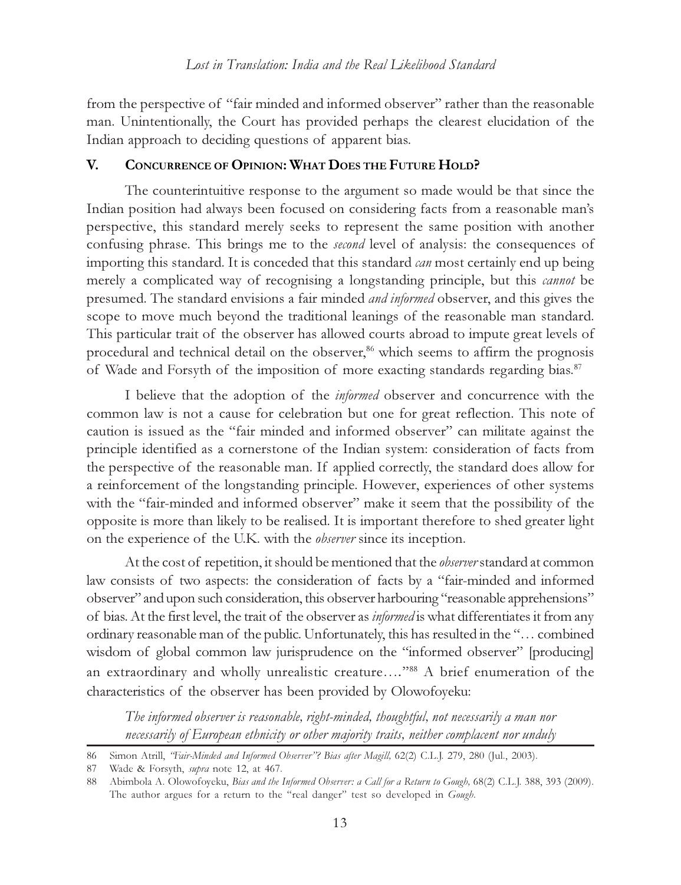from the perspective of "fair minded and informed observer" rather than the reasonable man. Unintentionally, the Court has provided perhaps the clearest elucidation of the Indian approach to deciding questions of apparent bias.

# V. CONCURRENCE OF OPINION: WHAT DOES THE FUTURE HOLD?

The counterintuitive response to the argument so made would be that since the Indian position had always been focused on considering facts from a reasonable man's perspective, this standard merely seeks to represent the same position with another confusing phrase. This brings me to the second level of analysis: the consequences of importing this standard. It is conceded that this standard *can* most certainly end up being merely a complicated way of recognising a longstanding principle, but this *cannot* be presumed. The standard envisions a fair minded and informed observer, and this gives the scope to move much beyond the traditional leanings of the reasonable man standard. This particular trait of the observer has allowed courts abroad to impute great levels of procedural and technical detail on the observer,<sup>86</sup> which seems to affirm the prognosis of Wade and Forsyth of the imposition of more exacting standards regarding bias.<sup>87</sup>

I believe that the adoption of the informed observer and concurrence with the common law is not a cause for celebration but one for great reflection. This note of caution is issued as the "fair minded and informed observer" can militate against the principle identified as a cornerstone of the Indian system: consideration of facts from the perspective of the reasonable man. If applied correctly, the standard does allow for a reinforcement of the longstanding principle. However, experiences of other systems with the "fair-minded and informed observer" make it seem that the possibility of the opposite is more than likely to be realised. It is important therefore to shed greater light on the experience of the U.K. with the observer since its inception.

At the cost of repetition, it should be mentioned that the *observer* standard at common law consists of two aspects: the consideration of facts by a "fair-minded and informed observer" and upon such consideration, this observer harbouring "reasonable apprehensions" of bias. At the first level, the trait of the observer as *informed* is what differentiates it from any ordinary reasonable man of the public. Unfortunately, this has resulted in the "… combined wisdom of global common law jurisprudence on the "informed observer" [producing] an extraordinary and wholly unrealistic creature...."88 A brief enumeration of the characteristics of the observer has been provided by Olowofoyeku:

The informed observer is reasonable, right-minded, thoughtful, not necessarily a man nor necessarily of European ethnicity or other majority traits, neither complacent nor unduly

<sup>86</sup> Simon Atrill, "Fair-Minded and Informed Observer"? Bias after Magill, 62(2) C.L.J. 279, 280 (Jul., 2003).

<sup>87</sup> Wade & Forsyth, supra note 12, at 467.

<sup>88</sup> Abimbola A. Olowofoyeku, Bias and the Informed Observer: a Call for a Return to Gough, 68(2) C.L.J. 388, 393 (2009). The author argues for a return to the "real danger" test so developed in Gough.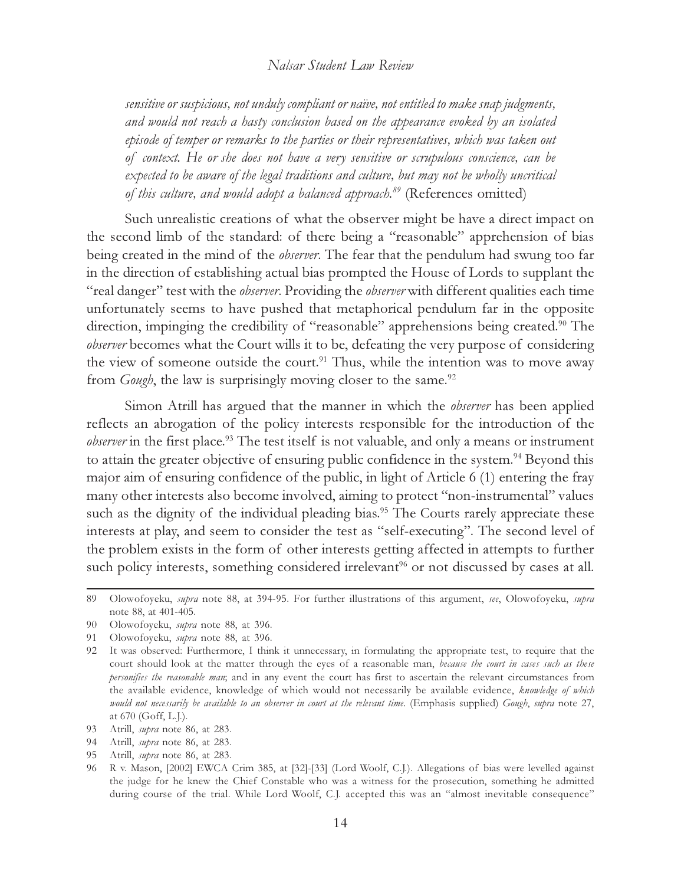sensitive or suspicious, not unduly compliant or naïve, not entitled to make snap judgments, and would not reach a hasty conclusion based on the appearance evoked by an isolated episode of temper or remarks to the parties or their representatives, which was taken out of context. He or she does not have a very sensitive or scrupulous conscience, can be expected to be aware of the legal traditions and culture, but may not be wholly uncritical of this culture, and would adopt a balanced approach.<sup>89</sup> (References omitted)

Such unrealistic creations of what the observer might be have a direct impact on the second limb of the standard: of there being a "reasonable" apprehension of bias being created in the mind of the *observer*. The fear that the pendulum had swung too far in the direction of establishing actual bias prompted the House of Lords to supplant the "real danger" test with the *observer*. Providing the *observer* with different qualities each time unfortunately seems to have pushed that metaphorical pendulum far in the opposite direction, impinging the credibility of "reasonable" apprehensions being created.<sup>90</sup> The observer becomes what the Court wills it to be, defeating the very purpose of considering the view of someone outside the court.<sup>91</sup> Thus, while the intention was to move away from *Gough*, the law is surprisingly moving closer to the same.<sup>92</sup>

Simon Atrill has argued that the manner in which the *observer* has been applied reflects an abrogation of the policy interests responsible for the introduction of the observer in the first place.<sup>93</sup> The test itself is not valuable, and only a means or instrument to attain the greater objective of ensuring public confidence in the system.<sup>94</sup> Beyond this major aim of ensuring confidence of the public, in light of Article 6 (1) entering the fray many other interests also become involved, aiming to protect "non-instrumental" values such as the dignity of the individual pleading bias.<sup>95</sup> The Courts rarely appreciate these interests at play, and seem to consider the test as "self-executing". The second level of the problem exists in the form of other interests getting affected in attempts to further such policy interests, something considered irrelevant<sup>96</sup> or not discussed by cases at all.

- 94 Atrill, supra note 86, at 283.
- 95 Atrill, supra note 86, at 283.

<sup>89</sup> Olowofoyeku, supra note 88, at 394-95. For further illustrations of this argument, see, Olowofoyeku, supra note 88, at 401-405.

<sup>90</sup> Olowofoyeku, supra note 88, at 396.

<sup>91</sup> Olowofoyeku, supra note 88, at 396.

<sup>92</sup> It was observed: Furthermore, I think it unnecessary, in formulating the appropriate test, to require that the court should look at the matter through the eyes of a reasonable man, because the court in cases such as these personifies the reasonable man; and in any event the court has first to ascertain the relevant circumstances from the available evidence, knowledge of which would not necessarily be available evidence, knowledge of which would not necessarily be available to an observer in court at the relevant time. (Emphasis supplied) Gough, supra note 27, at 670 (Goff, L.J.).

<sup>93</sup> Atrill, supra note 86, at 283.

<sup>96</sup> R v. Mason, [2002] EWCA Crim 385, at [32]-[33] (Lord Woolf, C.J.). Allegations of bias were levelled against the judge for he knew the Chief Constable who was a witness for the prosecution, something he admitted during course of the trial. While Lord Woolf, C.J. accepted this was an "almost inevitable consequence"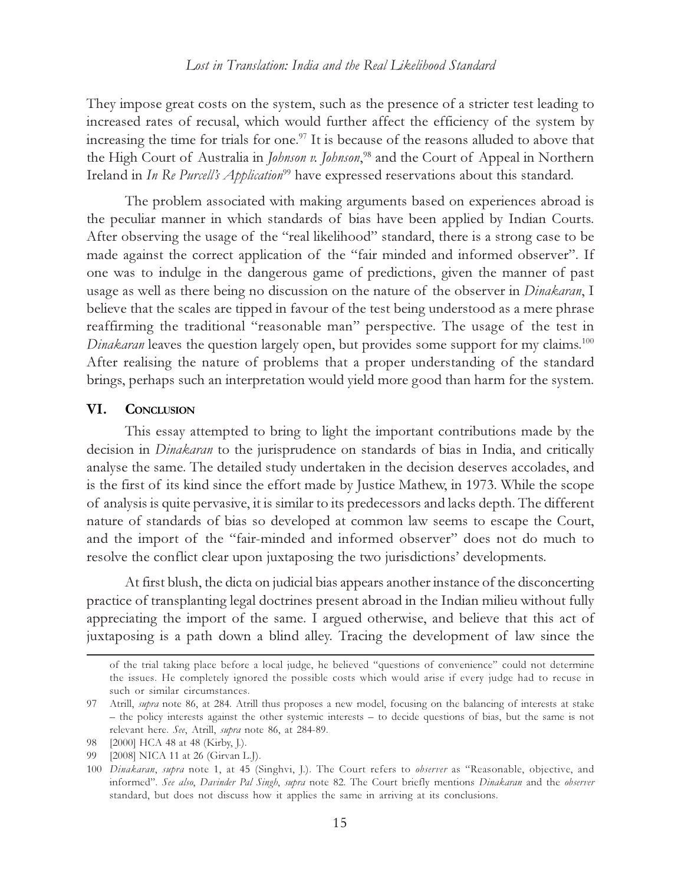They impose great costs on the system, such as the presence of a stricter test leading to increased rates of recusal, which would further affect the efficiency of the system by increasing the time for trials for one.<sup>97</sup> It is because of the reasons alluded to above that the High Court of Australia in Johnson v. Johnson,<sup>98</sup> and the Court of Appeal in Northern Ireland in In Re Purcell's Application<sup>99</sup> have expressed reservations about this standard.

The problem associated with making arguments based on experiences abroad is the peculiar manner in which standards of bias have been applied by Indian Courts. After observing the usage of the "real likelihood" standard, there is a strong case to be made against the correct application of the "fair minded and informed observer". If one was to indulge in the dangerous game of predictions, given the manner of past usage as well as there being no discussion on the nature of the observer in *Dinakaran*, I believe that the scales are tipped in favour of the test being understood as a mere phrase reaffirming the traditional "reasonable man" perspective. The usage of the test in Dinakaran leaves the question largely open, but provides some support for my claims.<sup>100</sup> After realising the nature of problems that a proper understanding of the standard brings, perhaps such an interpretation would yield more good than harm for the system.

## VI. CONCLUSION

This essay attempted to bring to light the important contributions made by the decision in Dinakaran to the jurisprudence on standards of bias in India, and critically analyse the same. The detailed study undertaken in the decision deserves accolades, and is the first of its kind since the effort made by Justice Mathew, in 1973. While the scope of analysis is quite pervasive, it is similar to its predecessors and lacks depth. The different nature of standards of bias so developed at common law seems to escape the Court, and the import of the "fair-minded and informed observer" does not do much to resolve the conflict clear upon juxtaposing the two jurisdictions' developments.

At first blush, the dicta on judicial bias appears another instance of the disconcerting practice of transplanting legal doctrines present abroad in the Indian milieu without fully appreciating the import of the same. I argued otherwise, and believe that this act of juxtaposing is a path down a blind alley. Tracing the development of law since the

of the trial taking place before a local judge, he believed "questions of convenience" could not determine the issues. He completely ignored the possible costs which would arise if every judge had to recuse in such or similar circumstances.

<sup>97</sup> Atrill, supra note 86, at 284. Atrill thus proposes a new model, focusing on the balancing of interests at stake – the policy interests against the other systemic interests – to decide questions of bias, but the same is not relevant here. See, Atrill, supra note 86, at 284-89.

<sup>98 [2000]</sup> HCA 48 at 48 (Kirby, J.).

<sup>99 [2008]</sup> NICA 11 at 26 (Girvan L.J).

<sup>100</sup> Dinakaran, supra note 1, at 45 (Singhvi, J.). The Court refers to observer as "Reasonable, objective, and informed". See also, Davinder Pal Singh, supra note 82. The Court briefly mentions Dinakaran and the observer standard, but does not discuss how it applies the same in arriving at its conclusions.